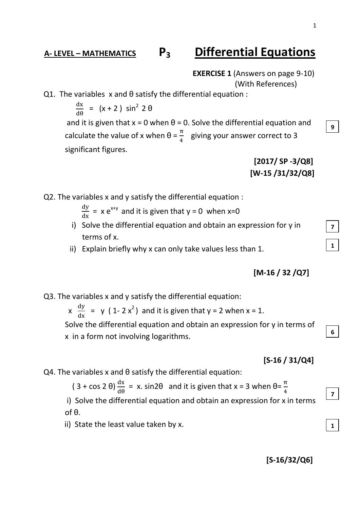**9**

**7**

**1**

**6**

**7**

**1**

## **A- LEVEL – MATHEMATICS P3 Differential Equations**

**EXERCISE 1** (Answers on page 9-10) (With References)

#### Q1. The variables x and θ satisfy the differential equation :

d  $\frac{dx}{d\theta}$  = (x + 2) sin<sup>2</sup> 2  $\theta$ and it is given that  $x = 0$  when  $\theta = 0$ . Solve the differential equation and calculate the value of x when  $\theta = \frac{\pi}{4}$  giving your answer correct to 3 significant figures.

> **[2017/ SP -3/Q8] [W-15 /31/32/Q8]**

Q2. The variables x and y satisfy the differential equation :

 $\frac{dy}{dx}$  = x e<sup>x+y</sup> and it is given that y = 0 when x=0

- i) Solve the differential equation and obtain an expression for y in terms of x.
- ii) Explain briefly why x can only take values less than 1.

## **[M-16 / 32 /Q7]**

## Q3. The variables x and y satisfy the differential equation:

 $x \frac{dy}{dx} = y (1-2x^2)$  and it is given that  $y = 2$  when  $x = 1$ .

 Solve the differential equation and obtain an expression for y in terms of x in a form not involving logarithms.

#### **[S-16 / 31/Q4]**

Q4. The variables x and θ satisfy the differential equation:

 $(3 + \cos 2 \theta) \frac{d\theta}{d\theta} = x$ . sin2 $\theta$  and it is given that x = 3 when  $\theta = \frac{\pi}{4}$ 

- i) Solve the differential equation and obtain an expression for x in terms of θ.
- ii) State the least value taken by x.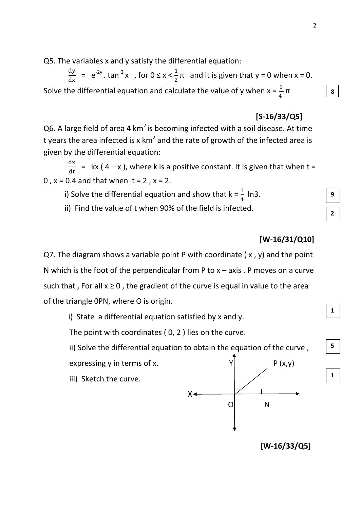Q5. The variables x and y satisfy the differential equation:

 $\frac{dy}{dx}$  = e<sup>-2y</sup>. tan <sup>2</sup>x, for  $0 \le x < \frac{1}{2}\pi$  and it is given that y = 0 when x = 0. Solve the differential equation and calculate the value of y when  $x = \frac{1}{4} \pi$ 

## **[S-16/33/Q5]**

 $Q6$ . A large field of area 4 km<sup>2</sup> is becoming infected with a soil disease. At time t years the area infected is x km<sup>2</sup> and the rate of growth of the infected area is given by the differential equation:

 $\frac{dx}{dt}$  = kx (4 – x), where k is a positive constant. It is given that when t = 0,  $x = 0.4$  and that when  $t = 2$ ,  $x = 2$ .

i) Solve the differential equation and show that  $k = \frac{1}{4}$  ln3.

ii) Find the value of t when 90% of the field is infected.

## **[W-16/31/Q10]**

Q7. The diagram shows a variable point P with coordinate ( $x$ ,  $y$ ) and the point N which is the foot of the perpendicular from P to  $x - a$ xis. P moves on a curve such that, For all  $x \ge 0$ , the gradient of the curve is equal in value to the area of the triangle 0PN, where O is origin.

i) State a differential equation satisfied by x and y.

The point with coordinates ( 0, 2 ) lies on the curve.

ii) Solve the differential equation to obtain the equation of the curve.

iii) Sketch the curve.



**[W-16/33/Q5]**

**9 2**

**8**



**5**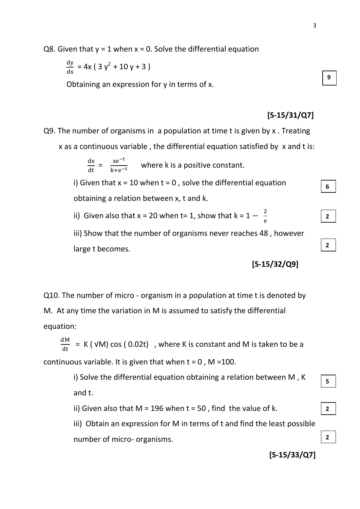Q8. Given that  $y = 1$  when  $x = 0$ . Solve the differential equation

$$
\frac{\mathrm{d}y}{\mathrm{d}x} = 4x \left( 3 y^2 + 10 y + 3 \right)
$$

Obtaining an expression for y in terms of x.

#### **[S-15/31/Q7]**

Q9. The number of organisms in a population at time t is given by x . Treating x as a continuous variable , the differential equation satisfied by x and t is:

> $\frac{dx}{dt} = \frac{xe^{-x}}{k+e^{-x}}$  $\frac{\lambda e}{k+e^{-t}}$  where k is a positive constant.

i) Given that  $x = 10$  when  $t = 0$ , solve the differential equation obtaining a relation between x, t and k.

ii) Given also that x = 20 when t= 1, show that  $k = 1 - \frac{2}{3}$ 

iii) Show that the number of organisms never reaches 48 , however large t becomes.

**[S-15/32/Q9]**

 $\frac{2}{e}$ 

Q10. The number of micro - organism in a population at time t is denoted by M. At any time the variation in M is assumed to satisfy the differential equation:

 $\frac{dM}{dt}$  = K ( √M) cos ( 0.02t) , where K is constant and M is taken to be a continuous variable. It is given that when  $t = 0$ , M = 100.

> i) Solve the differential equation obtaining a relation between M , K and t.

ii) Given also that  $M = 196$  when  $t = 50$ , find the value of k.

iii) Obtain an expression for M in terms of t and find the least possible number of micro- organisms.

**[S-15/33/Q7]**

**9**

**6**

**2**

**2**

**5**

**2**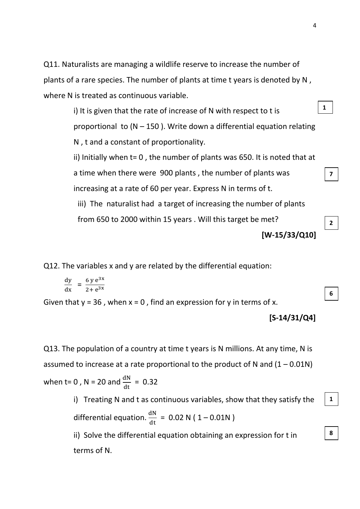Q11. Naturalists are managing a wildlife reserve to increase the number of plants of a rare species. The number of plants at time t years is denoted by N , where N is treated as continuous variable.

> i) It is given that the rate of increase of N with respect to t is proportional to  $(N - 150)$ . Write down a differential equation relating N , t and a constant of proportionality.

> ii) Initially when t= 0 , the number of plants was 650. It is noted that at a time when there were 900 plants , the number of plants was increasing at a rate of 60 per year. Express N in terms of t.

iii) The naturalist had a target of increasing the number of plants from 650 to 2000 within 15 years . Will this target be met?

**[W-15/33/Q10]**

Q12. The variables x and y are related by the differential equation:

$$
\frac{\mathrm{d}y}{\mathrm{d}x} = \frac{6 y e^{3x}}{2 + e^{3x}}
$$

Given that  $y = 36$ , when  $x = 0$ , find an expression for y in terms of x.

**[S-14/31/Q4]**

Q13. The population of a country at time t years is N millions. At any time, N is assumed to increase at a rate proportional to the product of N and  $(1 - 0.01N)$ when t= 0, N = 20 and  $\frac{du}{dt}$  = 0.32

> i) Treating N and t as continuous variables, show that they satisfy the differential equation.  $\frac{dN}{dt}$  = 0.02 N (1-0.01N)

ii) Solve the differential equation obtaining an expression for t in terms of N.

**1**

**7**

**2**

**6**

**1**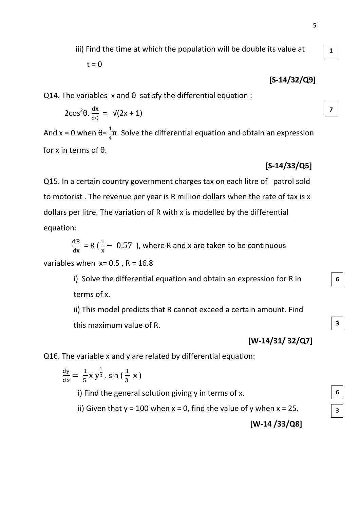**1**

**7**

**6**

**3**

**6**

**3**

iii) Find the time at which the population will be double its value at

$$
t = 0
$$

**[S-14/32/Q9]**

 $Q14$ . The variables x and  $\theta$  satisfy the differential equation :

$$
2\cos^2\theta \cdot \frac{dx}{d\theta} = \sqrt{2x+1}
$$

And x = 0 when  $\theta = \frac{1}{4}\pi$ . Solve the differential equation and obtain an expression for x in terms of θ.

#### **[S-14/33/Q5]**

Q15. In a certain country government charges tax on each litre of patrol sold to motorist . The revenue per year is R million dollars when the rate of tax is x dollars per litre. The variation of R with x is modelled by the differential equation:

$$
\frac{dR}{dx} = R\left(\frac{1}{x} - 0.57\right)
$$
, where R and x are taken to be continuous

variables when  $x= 0.5$ ,  $R = 16.8$ 

i) Solve the differential equation and obtain an expression for R in terms of x.

ii) This model predicts that R cannot exceed a certain amount. Find this maximum value of R.

**[W-14/31/ 32/Q7]** 

Q16. The variable x and y are related by differential equation:

$$
\frac{dy}{dx} = \frac{1}{5} x y^{\frac{1}{2}} \cdot \sin\left(\frac{1}{3} x\right)
$$

i) Find the general solution giving y in terms of x.

ii) Given that  $y = 100$  when  $x = 0$ , find the value of y when  $x = 25$ .

**[W-14 /33/Q8]**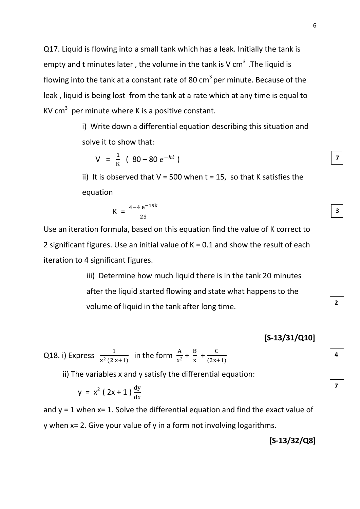Q17. Liquid is flowing into a small tank which has a leak. Initially the tank is empty and t minutes later, the volume in the tank is V cm<sup>3</sup>. The liquid is flowing into the tank at a constant rate of 80  $\text{cm}^3$  per minute. Because of the leak , liquid is being lost from the tank at a rate which at any time is equal to KV cm<sup>3</sup> per minute where K is a positive constant.

> i) Write down a differential equation describing this situation and solve it to show that:

$$
V = \frac{1}{K} (80 - 80 e^{-kt})
$$

ii) It is observed that  $V = 500$  when  $t = 15$ , so that K satisfies the equation

$$
K = \frac{4 - 4 e^{-15k}}{25}
$$

Use an iteration formula, based on this equation find the value of K correct to 2 significant figures. Use an initial value of K = 0.1 and show the result of each iteration to 4 significant figures.

> iii) Determine how much liquid there is in the tank 20 minutes after the liquid started flowing and state what happens to the volume of liquid in the tank after long time.

Q18. i) Express  $\frac{1}{x^2(2x+1)}$  in the form  $\frac{A}{x^2} + \frac{B}{x}$  $\frac{B}{x}$  +  $\frac{C}{(2x+1)}$  $\frac{c}{(2x+1)}$ 

ii) The variables x and y satisfy the differential equation:

$$
y = x^2 (2x + 1) \frac{dy}{dx}
$$

and  $y = 1$  when  $x = 1$ . Solve the differential equation and find the exact value of y when x= 2. Give your value of y in a form not involving logarithms.

**[S-13/32/Q8]**

 **[S-13/31/Q10]**

**4**

**7**

**2**

**7**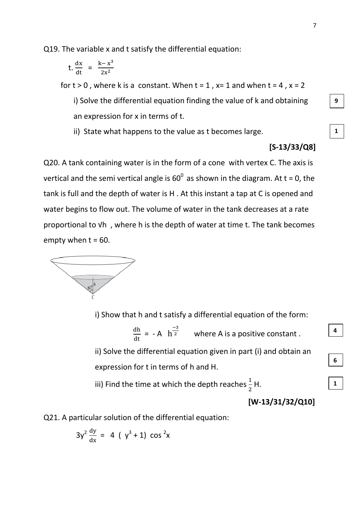Q19. The variable x and t satisfy the differential equation:

$$
t. \frac{dx}{dt} = \frac{k - x^3}{2x^2}
$$

for  $t > 0$ , where k is a constant. When  $t = 1$ ,  $x= 1$  and when  $t = 4$ ,  $x = 2$ 

i) Solve the differential equation finding the value of k and obtaining an expression for x in terms of t.

ii) State what happens to the value as t becomes large.

#### **[S-13/33/Q8]**

Q20. A tank containing water is in the form of a cone with vertex C. The axis is vertical and the semi vertical angle is  $60^{\circ}$  as shown in the diagram. At t = 0, the tank is full and the depth of water is H . At this instant a tap at C is opened and water begins to flow out. The volume of water in the tank decreases at a rate proportional to √h , where h is the depth of water at time t. The tank becomes empty when  $t = 60$ .



i) Show that h and t satisfy a differential equation of the form:

 $\frac{dh}{dt} = -A$  $\overline{\phantom{0}}$  $\overline{z}$  where A is a positive constant.

ii) Solve the differential equation given in part (i) and obtain an expression for t in terms of h and H.

iii) Find the time at which the depth reaches  $\frac{1}{2}$ H.

$$
[W-13/31/32/Q10]
$$

Q21. A particular solution of the differential equation:

$$
3y^{2} \frac{dy}{dx} = 4 (y^{3} + 1) \cos^{2}x
$$

**1**

**4**

**6**

**1**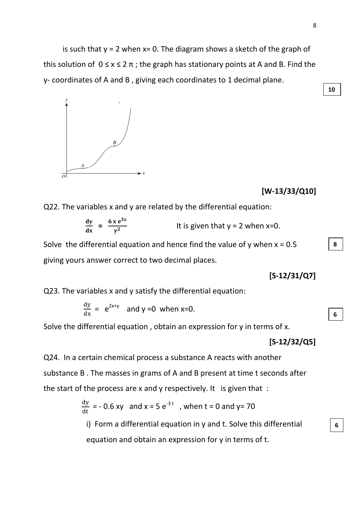is such that  $y = 2$  when  $x = 0$ . The diagram shows a sketch of the graph of this solution of  $0 \le x \le 2 \pi$ ; the graph has stationary points at A and B. Find the y- coordinates of A and B , giving each coordinates to 1 decimal plane.



#### **[W-13/33/Q10]**

Q22. The variables x and y are related by the differential equation:

$$
\frac{dy}{dx} = \frac{6 \times e^{3x}}{y^2}
$$
 It is given that y = 2 when x=0.

Solve the differential equation and hence find the value of y when  $x = 0.5$ giving yours answer correct to two decimal places.

**[S-12/31/Q7]**

Q23. The variables x and y satisfy the differential equation:

$$
\frac{dy}{dx} = e^{2x+y}
$$
 and y =0 when x=0.

Solve the differential equation , obtain an expression for y in terms of x.

#### **[S-12/32/Q5]**

Q24. In a certain chemical process a substance A reacts with another substance B . The masses in grams of A and B present at time t seconds after the start of the process are x and y respectively. It is given that :

 $\frac{dy}{dt}$  = - 0.6 xy and x = 5 e<sup>-3 t</sup>, when t = 0 and y= 70

i) Form a differential equation in y and t. Solve this differential equation and obtain an expression for y in terms of t.

**6**

**8**

**10**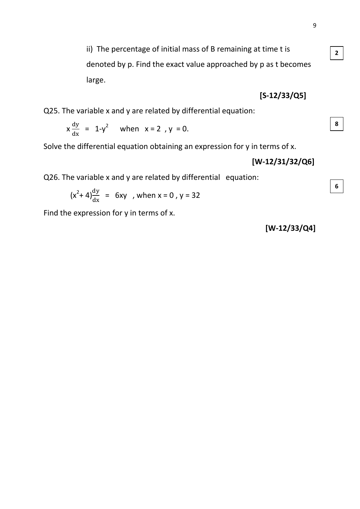**2**

**8**

**6**

ii) The percentage of initial mass of B remaining at time t is denoted by p. Find the exact value approached by p as t becomes large.

**[S-12/33/Q5]**

Q25. The variable x and y are related by differential equation:

$$
x\frac{dy}{dx} = 1-y^2 \quad \text{when} \quad x = 2 \, y = 0.
$$

Solve the differential equation obtaining an expression for y in terms of x.

**[W-12/31/32/Q6]**

Q26. The variable x and y are related by differential equation:

$$
(x^2+4)\frac{dy}{dx} = 6xy
$$
, when x = 0, y = 32

Find the expression for y in terms of x.

**[W-12/33/Q4]**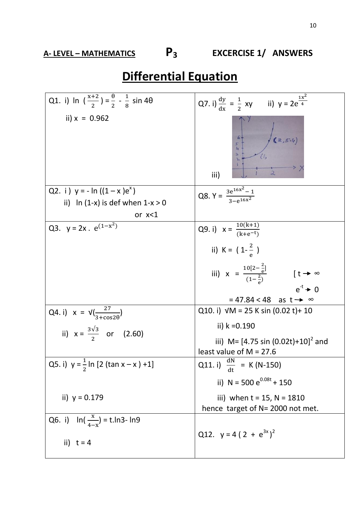**A- LEVEL – MATHEMATICS P3 EXCERCISE 1/ ANSWERS**

# **Differential Equation**

| Q1. i) In $\left(\frac{x+2}{2}\right) = \frac{\theta}{2} - \frac{1}{8} \sin 4\theta$ | Q7. i) $\frac{dy}{dx} = \frac{1}{2} xy$ ii) $y = 2e^{\frac{1x^2}{4}}$             |
|--------------------------------------------------------------------------------------|-----------------------------------------------------------------------------------|
| ii) $x = 0.962$                                                                      | (2, 5.4)<br>5<br>$L_1$<br>З<br>iii)                                               |
| Q2. i) $y = -\ln((1 - x)e^{x})$                                                      | Q8. $Y = \frac{3e^{16x^2} - 1}{3e^{16x^2}}$                                       |
| ii) In $(1-x)$ is def when $1-x > 0$                                                 |                                                                                   |
| or $x < 1$                                                                           |                                                                                   |
| Q3. $y = 2x \cdot e^{(1-x^2)}$                                                       | Q9. i) $x = \frac{10(k+1)}{(k+e^{-t})}$                                           |
|                                                                                      | ii) $K = (1 - \frac{2}{9})$                                                       |
|                                                                                      | iii) $x = \frac{10[2-\frac{2}{e}]}{(1-\frac{2}{e})}$<br>$[t \rightarrow \infty$   |
|                                                                                      | $e^{-t}$ $\rightarrow$ 0                                                          |
|                                                                                      | $= 47.84 < 48$ as t $\rightarrow \infty$<br>Q10. i) $VM = 25 K sin (0.02 t) + 10$ |
| Q4. i) $x = \sqrt{\frac{27}{3 + \cos 2\theta}}$                                      |                                                                                   |
| ii) $x = \frac{3\sqrt{3}}{2}$ or (2.60)                                              | ii) $k = 0.190$                                                                   |
|                                                                                      | iii) M= $[4.75 \sin (0.02t)+10]^2$ and                                            |
|                                                                                      | least value of $M = 27.6$                                                         |
| Q5. i) $y = \frac{1}{2} \ln [2 (\tan x - x) + 1]$                                    | Q11. i) $\frac{dN}{dt}$ = K (N-150)                                               |
|                                                                                      | ii) N = 500 $e^{0.08t}$ + 150                                                     |
| ii) $y = 0.179$                                                                      | iii) when $t = 15$ , $N = 1810$                                                   |
|                                                                                      | hence target of N= 2000 not met.                                                  |
| Q6. i) $\ln(\frac{x}{4-x}) = \text{t}.\ln 3 - \ln 9$                                 |                                                                                   |
| ii) $t = 4$                                                                          | Q12. $y = 4(2 + e^{3x})^2$                                                        |